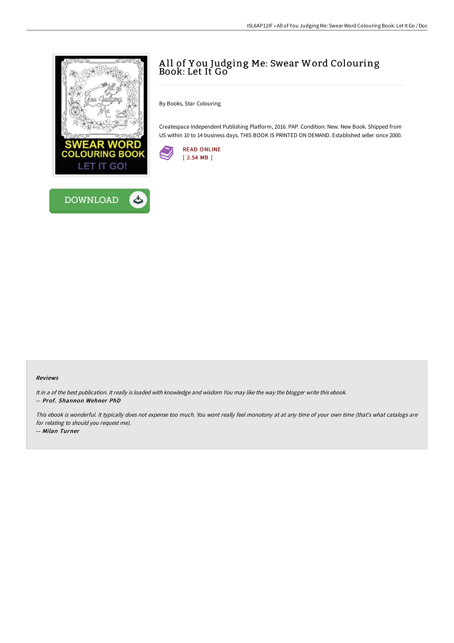

## A ll of Y ou Judging Me: Swear Word Colouring Book: Let It Go

By Books, Star Colouring

Createspace Independent Publishing Platform, 2016. PAP. Condition: New. New Book. Shipped from US within 10 to 14 business days. THIS BOOK IS PRINTED ON DEMAND. Established seller since 2000.



## Reviews

It in <sup>a</sup> of the best publication. It really is loaded with knowledge and wisdom You may like the way the blogger write this ebook. -- Prof. Shannon Wehner PhD

This ebook is wonderful. It typically does not expense too much. You wont really feel monotony at at any time of your own time (that's what catalogs are for relating to should you request me). -- Milan Turner